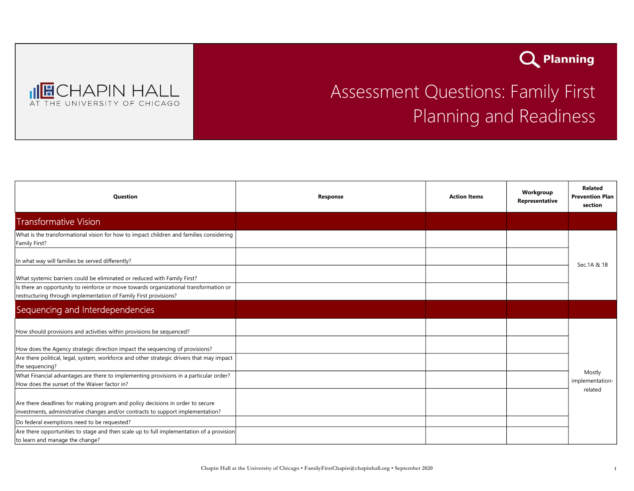



## Assessment Questions: Family First Planning and Readiness

| <b>Question</b>                                                                                                                                                   | Response | <b>Action Items</b> | Workgroup<br>Representative | Related<br><b>Prevention Plan</b><br>section |
|-------------------------------------------------------------------------------------------------------------------------------------------------------------------|----------|---------------------|-----------------------------|----------------------------------------------|
| <b>Transformative Vision</b>                                                                                                                                      |          |                     |                             |                                              |
| What is the transformational vision for how to impact children and families considering<br>Family First?                                                          |          |                     |                             |                                              |
| In what way will families be served differently?                                                                                                                  |          |                     |                             | Sec.1A & 1B                                  |
| What systemic barriers could be eliminated or reduced with Family First?                                                                                          |          |                     |                             |                                              |
| Is there an opportunity to reinforce or move towards organizational transformation or<br>restructuring through implementation of Family First provisions?         |          |                     |                             |                                              |
| Sequencing and Interdependencies                                                                                                                                  |          |                     |                             |                                              |
| How should provisions and activities within provisions be sequenced?                                                                                              |          |                     |                             |                                              |
| How does the Agency strategic direction impact the sequencing of provisions?                                                                                      |          |                     |                             |                                              |
| Are there political, legal, system, workforce and other strategic drivers that may impact<br>the sequencing?                                                      |          |                     |                             |                                              |
| What Financial advantages are there to implementing provisions in a particular order?<br>How does the sunset of the Waiver factor in?                             |          |                     |                             | Mostly<br>implementation-                    |
| Are there deadlines for making program and policy decisions in order to secure<br>investments, administrative changes and/or contracts to support implementation? |          |                     |                             | related                                      |
| Do federal exemptions need to be requested?                                                                                                                       |          |                     |                             |                                              |
| Are there opportunities to stage and then scale up to full implementation of a provision<br>to learn and manage the change?                                       |          |                     |                             |                                              |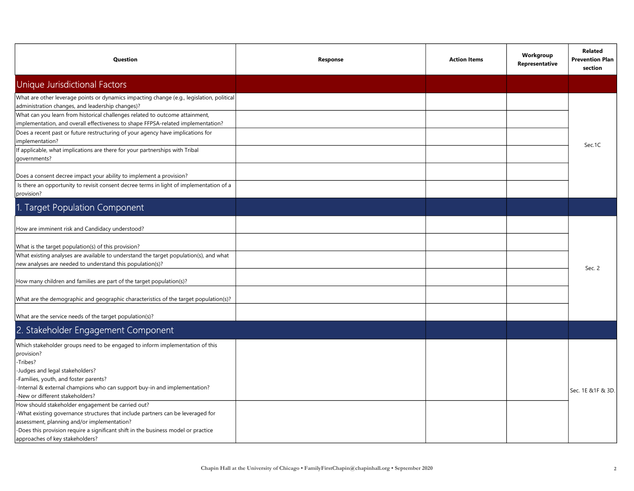| Question                                                                                                                                                         | Response | <b>Action Items</b> | Workgroup<br>Representative | Related<br><b>Prevention Plan</b><br>section |
|------------------------------------------------------------------------------------------------------------------------------------------------------------------|----------|---------------------|-----------------------------|----------------------------------------------|
| <b>Unique Jurisdictional Factors</b>                                                                                                                             |          |                     |                             |                                              |
| What are other leverage points or dynamics impacting change (e.g., legislation, political<br>administration changes, and leadership changes)?                    |          |                     |                             |                                              |
| What can you learn from historical challenges related to outcome attainment,<br>implementation, and overall effectiveness to shape FFPSA-related implementation? |          |                     |                             |                                              |
| Does a recent past or future restructuring of your agency have implications for<br>implementation?                                                               |          |                     |                             |                                              |
| If applicable, what implications are there for your partnerships with Tribal<br>governments?                                                                     |          |                     |                             | Sec.1C                                       |
| Does a consent decree impact your ability to implement a provision?                                                                                              |          |                     |                             |                                              |
| Is there an opportunity to revisit consent decree terms in light of implementation of a<br>provision?                                                            |          |                     |                             |                                              |
| 1. Target Population Component                                                                                                                                   |          |                     |                             |                                              |
| How are imminent risk and Candidacy understood?                                                                                                                  |          |                     |                             |                                              |
| What is the target population(s) of this provision?                                                                                                              |          |                     |                             |                                              |
| What existing analyses are available to understand the target population(s), and what<br>new analyses are needed to understand this population(s)?               |          |                     |                             | Sec. 2                                       |
| How many children and families are part of the target population(s)?                                                                                             |          |                     |                             |                                              |
| What are the demographic and geographic characteristics of the target population(s)?                                                                             |          |                     |                             |                                              |
| What are the service needs of the target population(s)?                                                                                                          |          |                     |                             |                                              |
| 2. Stakeholder Engagement Component                                                                                                                              |          |                     |                             |                                              |
| Which stakeholder groups need to be engaged to inform implementation of this<br>provision?<br>-Tribes?                                                           |          |                     |                             |                                              |
| -Judges and legal stakeholders?                                                                                                                                  |          |                     |                             |                                              |
| -Families, youth, and foster parents?                                                                                                                            |          |                     |                             |                                              |
| -Internal & external champions who can support buy-in and implementation?<br>-New or different stakeholders?                                                     |          |                     |                             | Sec. 1E & 1F & 3D.                           |
| How should stakeholder engagement be carried out?                                                                                                                |          |                     |                             |                                              |
| -What existing governance structures that include partners can be leveraged for                                                                                  |          |                     |                             |                                              |
| assessment, planning and/or implementation?                                                                                                                      |          |                     |                             |                                              |
| -Does this provision require a significant shift in the business model or practice                                                                               |          |                     |                             |                                              |
| approaches of key stakeholders?                                                                                                                                  |          |                     |                             |                                              |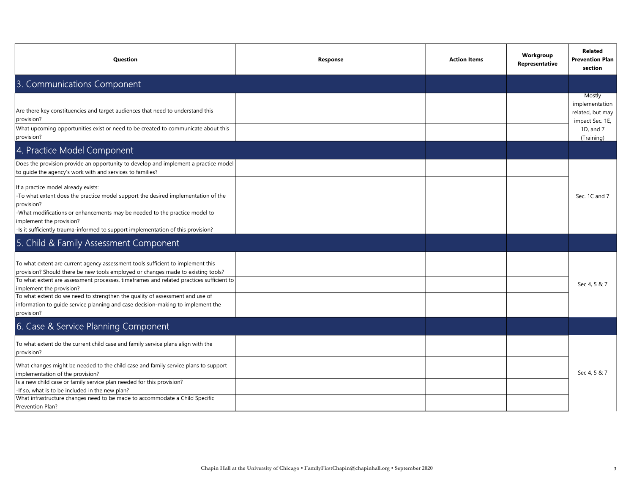| Question                                                                                                                                                                                                                                                                                                                                                                                                                                                                    | Response | <b>Action Items</b> | Workgroup<br>Representative | <b>Related</b><br><b>Prevention Plan</b><br>section                                        |
|-----------------------------------------------------------------------------------------------------------------------------------------------------------------------------------------------------------------------------------------------------------------------------------------------------------------------------------------------------------------------------------------------------------------------------------------------------------------------------|----------|---------------------|-----------------------------|--------------------------------------------------------------------------------------------|
| 3. Communications Component                                                                                                                                                                                                                                                                                                                                                                                                                                                 |          |                     |                             |                                                                                            |
| Are there key constituencies and target audiences that need to understand this<br>provision?<br>What upcoming opportunities exist or need to be created to communicate about this<br>provision?                                                                                                                                                                                                                                                                             |          |                     |                             | Mostly<br>implementation<br>related, but may<br>impact Sec. 1E,<br>1D, and 7<br>(Training) |
| 4. Practice Model Component                                                                                                                                                                                                                                                                                                                                                                                                                                                 |          |                     |                             |                                                                                            |
| Does the provision provide an opportunity to develop and implement a practice model<br>to guide the agency's work with and services to families?                                                                                                                                                                                                                                                                                                                            |          |                     |                             |                                                                                            |
| If a practice model already exists:<br>-To what extent does the practice model support the desired implementation of the<br>provision?<br>-What modifications or enhancements may be needed to the practice model to<br>implement the provision?<br>-Is it sufficiently trauma-informed to support implementation of this provision?                                                                                                                                        |          |                     |                             | Sec. 1C and 7                                                                              |
| 5. Child & Family Assessment Component                                                                                                                                                                                                                                                                                                                                                                                                                                      |          |                     |                             |                                                                                            |
| To what extent are current agency assessment tools sufficient to implement this<br>provision? Should there be new tools employed or changes made to existing tools?<br>To what extent are assessment processes, timeframes and related practices sufficient to<br>implement the provision?<br>To what extent do we need to strengthen the quality of assessment and use of<br>information to guide service planning and case decision-making to implement the<br>provision? |          |                     |                             | Sec 4, 5 & 7                                                                               |
| 6. Case & Service Planning Component                                                                                                                                                                                                                                                                                                                                                                                                                                        |          |                     |                             |                                                                                            |
| To what extent do the current child case and family service plans align with the<br>provision?                                                                                                                                                                                                                                                                                                                                                                              |          |                     |                             |                                                                                            |
| What changes might be needed to the child case and family service plans to support<br>implementation of the provision?<br>Is a new child case or family service plan needed for this provision?<br>-If so, what is to be included in the new plan?                                                                                                                                                                                                                          |          |                     |                             | Sec 4, 5 & 7                                                                               |
| What infrastructure changes need to be made to accommodate a Child Specific<br>Prevention Plan?                                                                                                                                                                                                                                                                                                                                                                             |          |                     |                             |                                                                                            |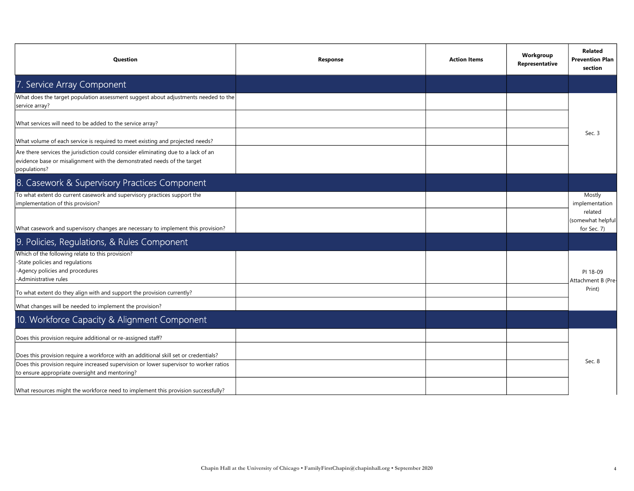| Question                                                                                                                                                                      | Response | <b>Action Items</b> | Workgroup<br>Representative | Related<br><b>Prevention Plan</b><br>section |
|-------------------------------------------------------------------------------------------------------------------------------------------------------------------------------|----------|---------------------|-----------------------------|----------------------------------------------|
| 7. Service Array Component                                                                                                                                                    |          |                     |                             |                                              |
| $ $ What does the target population assessment suggest about adjustments needed to the $ $<br>service array?                                                                  |          |                     |                             |                                              |
| What services will need to be added to the service array?                                                                                                                     |          |                     |                             |                                              |
| What volume of each service is required to meet existing and projected needs?                                                                                                 |          |                     |                             | Sec. 3                                       |
| Are there services the jurisdiction could consider eliminating due to a lack of an<br>evidence base or misalignment with the demonstrated needs of the target<br>populations? |          |                     |                             |                                              |
| 8. Casework & Supervisory Practices Component                                                                                                                                 |          |                     |                             |                                              |
| To what extent do current casework and supervisory practices support the<br>implementation of this provision?                                                                 |          |                     |                             | Mostly<br>implementation<br>related          |
| What casework and supervisory changes are necessary to implement this provision?                                                                                              |          |                     |                             | (somewhat helpful<br>for Sec. 7)             |
| 9. Policies, Regulations, & Rules Component                                                                                                                                   |          |                     |                             |                                              |
| Which of the following relate to this provision?<br>-State policies and regulations<br>-Agency policies and procedures<br>-Administrative rules                               |          |                     |                             | PI 18-09<br>Attachment B (Pre-               |
| To what extent do they align with and support the provision currently?                                                                                                        |          |                     |                             | Print)                                       |
| What changes will be needed to implement the provision?                                                                                                                       |          |                     |                             |                                              |
| 10. Workforce Capacity & Alignment Component                                                                                                                                  |          |                     |                             |                                              |
| Does this provision require additional or re-assigned staff?                                                                                                                  |          |                     |                             |                                              |
| Does this provision require a workforce with an additional skill set or credentials?                                                                                          |          |                     |                             | Sec. 8                                       |
| Does this provision require increased supervision or lower supervisor to worker ratios<br>to ensure appropriate oversight and mentoring?                                      |          |                     |                             |                                              |
| What resources might the workforce need to implement this provision successfully?                                                                                             |          |                     |                             |                                              |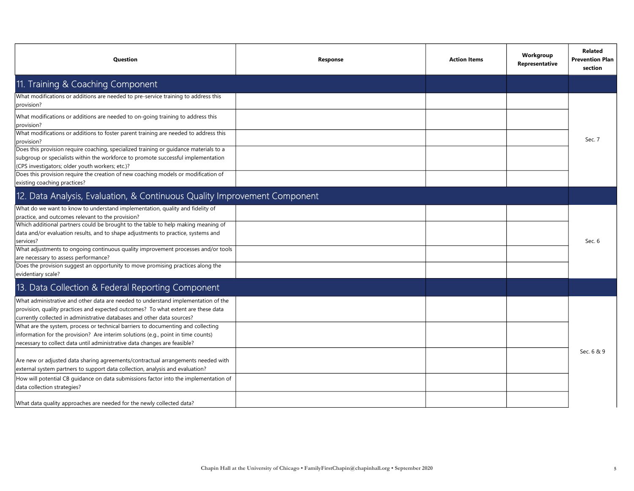| <b>Question</b>                                                                                                                                                                                                                                    | <b>Response</b> | <b>Action Items</b> | Workgroup<br>Representative | <b>Related</b><br><b>Prevention Plan</b><br>section |
|----------------------------------------------------------------------------------------------------------------------------------------------------------------------------------------------------------------------------------------------------|-----------------|---------------------|-----------------------------|-----------------------------------------------------|
| 11. Training & Coaching Component                                                                                                                                                                                                                  |                 |                     |                             |                                                     |
| What modifications or additions are needed to pre-service training to address this<br>provision?                                                                                                                                                   |                 |                     |                             |                                                     |
| What modifications or additions are needed to on-going training to address this<br>provision?                                                                                                                                                      |                 |                     |                             |                                                     |
| What modifications or additions to foster parent training are needed to address this<br>provision?                                                                                                                                                 |                 |                     |                             | Sec. 7                                              |
| Does this provision require coaching, specialized training or guidance materials to a<br>subgroup or specialists within the workforce to promote successful implementation<br>(CPS investigators; older youth workers; etc.)?                      |                 |                     |                             |                                                     |
| Does this provision require the creation of new coaching models or modification of<br>existing coaching practices?                                                                                                                                 |                 |                     |                             |                                                     |
| 12. Data Analysis, Evaluation, & Continuous Quality Improvement Component                                                                                                                                                                          |                 |                     |                             |                                                     |
| What do we want to know to understand implementation, quality and fidelity of<br>practice, and outcomes relevant to the provision?<br>Which additional partners could be brought to the table to help making meaning of                            |                 |                     |                             |                                                     |
| data and/or evaluation results, and to shape adjustments to practice, systems and<br>services?                                                                                                                                                     |                 |                     |                             | Sec. 6                                              |
| What adjustments to ongoing continuous quality improvement processes and/or tools<br>are necessary to assess performance?                                                                                                                          |                 |                     |                             |                                                     |
| Does the provision suggest an opportunity to move promising practices along the<br>evidentiary scale?                                                                                                                                              |                 |                     |                             |                                                     |
| 13. Data Collection & Federal Reporting Component                                                                                                                                                                                                  |                 |                     |                             |                                                     |
| What administrative and other data are needed to understand implementation of the<br>provision, quality practices and expected outcomes? To what extent are these data<br>currently collected in administrative databases and other data sources?  |                 |                     |                             |                                                     |
| What are the system, process or technical barriers to documenting and collecting<br>information for the provision? Are interim solutions (e.g., point in time counts)<br>necessary to collect data until administrative data changes are feasible? |                 |                     |                             |                                                     |
| Are new or adjusted data sharing agreements/contractual arrangements needed with<br>external system partners to support data collection, analysis and evaluation?                                                                                  |                 |                     |                             | Sec. 6 & 9                                          |
| How will potential CB quidance on data submissions factor into the implementation of<br>data collection strategies?                                                                                                                                |                 |                     |                             |                                                     |
| What data quality approaches are needed for the newly collected data?                                                                                                                                                                              |                 |                     |                             |                                                     |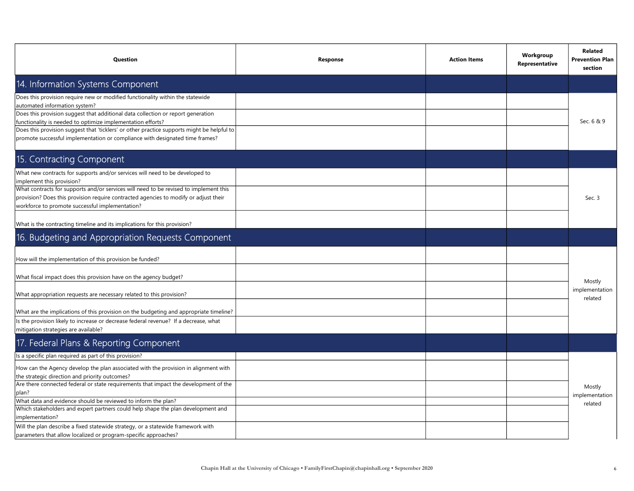| Question                                                                                                                                                                                                                                                                                                                                                                                                                                                                                                                                                     | Response | <b>Action Items</b> | Workgroup<br>Representative | <b>Related</b><br><b>Prevention Plan</b><br>section |
|--------------------------------------------------------------------------------------------------------------------------------------------------------------------------------------------------------------------------------------------------------------------------------------------------------------------------------------------------------------------------------------------------------------------------------------------------------------------------------------------------------------------------------------------------------------|----------|---------------------|-----------------------------|-----------------------------------------------------|
| 14. Information Systems Component                                                                                                                                                                                                                                                                                                                                                                                                                                                                                                                            |          |                     |                             |                                                     |
| Does this provision require new or modified functionality within the statewide<br>automated information system?<br>Does this provision suggest that additional data collection or report generation<br>functionality is needed to optimize implementation efforts?<br>Does this provision suggest that 'ticklers' or other practice supports might be helpful to<br>promote successful implementation or compliance with designated time frames?                                                                                                             |          |                     |                             | Sec. 6 & 9                                          |
| 15. Contracting Component                                                                                                                                                                                                                                                                                                                                                                                                                                                                                                                                    |          |                     |                             |                                                     |
| What new contracts for supports and/or services will need to be developed to<br>implement this provision?<br>What contracts for supports and/or services will need to be revised to implement this<br>provision? Does this provision require contracted agencies to modify or adjust their<br>workforce to promote successful implementation?<br>What is the contracting timeline and its implications for this provision?                                                                                                                                   |          |                     |                             | Sec. 3                                              |
| 16. Budgeting and Appropriation Requests Component                                                                                                                                                                                                                                                                                                                                                                                                                                                                                                           |          |                     |                             |                                                     |
| How will the implementation of this provision be funded?<br>What fiscal impact does this provision have on the agency budget?<br>What appropriation requests are necessary related to this provision?<br>What are the implications of this provision on the budgeting and appropriate timeline?<br>Is the provision likely to increase or decrease federal revenue? If a decrease, what<br>mitigation strategies are available?                                                                                                                              |          |                     |                             | Mostly<br>implementation<br>related                 |
| 17. Federal Plans & Reporting Component                                                                                                                                                                                                                                                                                                                                                                                                                                                                                                                      |          |                     |                             |                                                     |
| Is a specific plan required as part of this provision?<br>How can the Agency develop the plan associated with the provision in alignment with<br>the strategic direction and priority outcomes?<br>Are there connected federal or state requirements that impact the development of the<br>plan?<br>What data and evidence should be reviewed to inform the plan?<br>Which stakeholders and expert partners could help shape the plan development and<br>implementation?<br>Will the plan describe a fixed statewide strategy, or a statewide framework with |          |                     |                             | Mostly<br>implementation<br>related                 |
| parameters that allow localized or program-specific approaches?                                                                                                                                                                                                                                                                                                                                                                                                                                                                                              |          |                     |                             |                                                     |